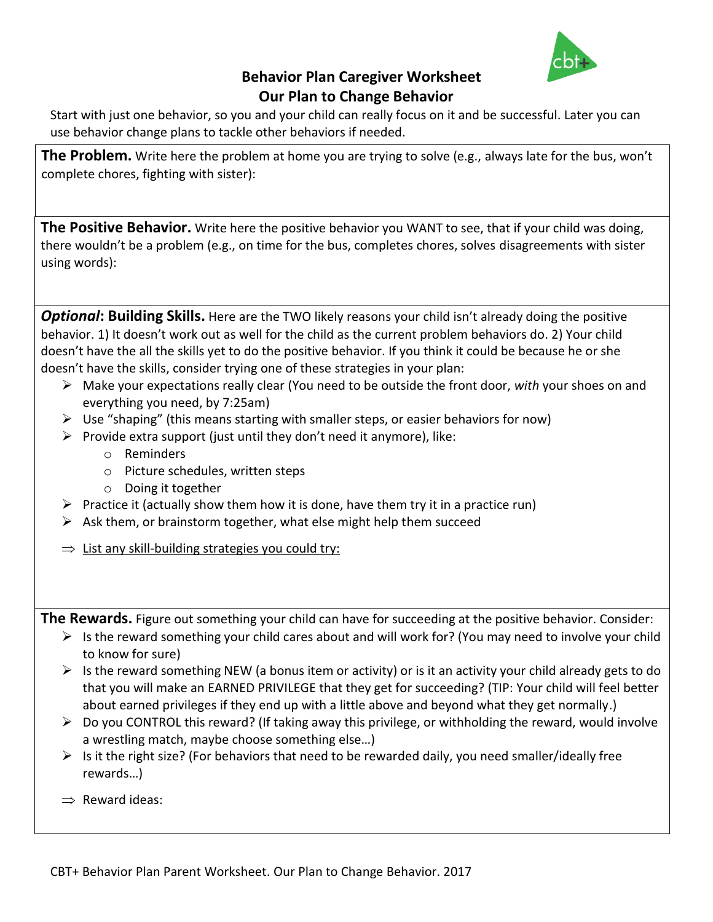

## **Behavior Plan Caregiver Worksheet Our Plan to Change Behavior**

Start with just one behavior, so you and your child can really focus on it and be successful. Later you can use behavior change plans to tackle other behaviors if needed.

**The Problem.** Write here the problem at home you are trying to solve (e.g., always late for the bus, won't complete chores, fighting with sister):

**The Positive Behavior.** Write here the positive behavior you WANT to see, that if your child was doing, there wouldn't be a problem (e.g., on time for the bus, completes chores, solves disagreements with sister using words):

**Optional: Building Skills.** Here are the TWO likely reasons your child isn't already doing the positive behavior. 1) It doesn't work out as well for the child as the current problem behaviors do. 2) Your child doesn't have the all the skills yet to do the positive behavior. If you think it could be because he or she doesn't have the skills, consider trying one of these strategies in your plan:

- Make your expectations really clear (You need to be outside the front door, *with* your shoes on and everything you need, by 7:25am)
- $\triangleright$  Use "shaping" (this means starting with smaller steps, or easier behaviors for now)
- Provide extra support (just until they don't need it anymore), like:
	- o Reminders
	- o Picture schedules, written steps
	- o Doing it together
- $\triangleright$  Practice it (actually show them how it is done, have them try it in a practice run)
- $\triangleright$  Ask them, or brainstorm together, what else might help them succeed
- $\Rightarrow$  List any skill-building strategies you could try:

**The Rewards.** Figure out something your child can have for succeeding at the positive behavior. Consider:

- $\triangleright$  Is the reward something your child cares about and will work for? (You may need to involve your child to know for sure)
- $\triangleright$  Is the reward something NEW (a bonus item or activity) or is it an activity your child already gets to do that you will make an EARNED PRIVILEGE that they get for succeeding? (TIP: Your child will feel better about earned privileges if they end up with a little above and beyond what they get normally.)
- $\triangleright$  Do you CONTROL this reward? (If taking away this privilege, or withholding the reward, would involve a wrestling match, maybe choose something else…)
- $\triangleright$  Is it the right size? (For behaviors that need to be rewarded daily, you need smaller/ideally free rewards…)
- $\Rightarrow$  Reward ideas: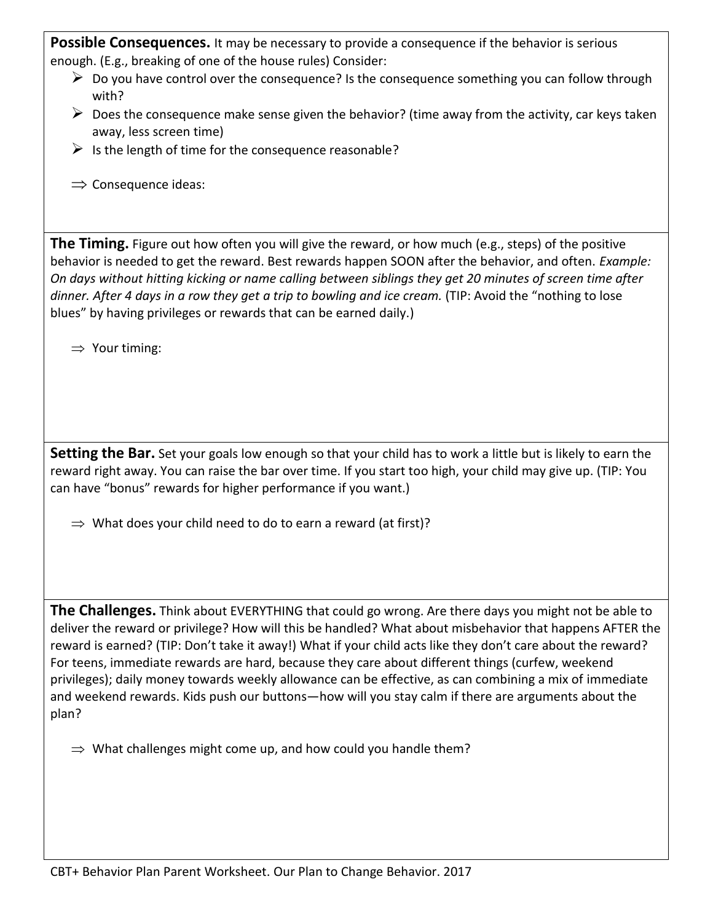**Possible Consequences.** It may be necessary to provide a consequence if the behavior is serious enough. (E.g., breaking of one of the house rules) Consider:

- $\triangleright$  Do you have control over the consequence? Is the consequence something you can follow through with?
- $\triangleright$  Does the consequence make sense given the behavior? (time away from the activity, car keys taken away, less screen time)
- $\triangleright$  Is the length of time for the consequence reasonable?
- $\Rightarrow$  Consequence ideas:

**The Timing.** Figure out how often you will give the reward, or how much (e.g., steps) of the positive behavior is needed to get the reward. Best rewards happen SOON after the behavior, and often. *Example: On days without hitting kicking or name calling between siblings they get 20 minutes of screen time after dinner. After 4 days in a row they get a trip to bowling and ice cream.* (TIP: Avoid the "nothing to lose blues" by having privileges or rewards that can be earned daily.)

 $\Rightarrow$  Your timing:

**Setting the Bar.** Set your goals low enough so that your child has to work a little but is likely to earn the reward right away. You can raise the bar over time. If you start too high, your child may give up. (TIP: You can have "bonus" rewards for higher performance if you want.)

 $\Rightarrow$  What does your child need to do to earn a reward (at first)?

**The Challenges.** Think about EVERYTHING that could go wrong. Are there days you might not be able to deliver the reward or privilege? How will this be handled? What about misbehavior that happens AFTER the reward is earned? (TIP: Don't take it away!) What if your child acts like they don't care about the reward? For teens, immediate rewards are hard, because they care about different things (curfew, weekend privileges); daily money towards weekly allowance can be effective, as can combining a mix of immediate and weekend rewards. Kids push our buttons—how will you stay calm if there are arguments about the plan?

 $\Rightarrow$  What challenges might come up, and how could you handle them?